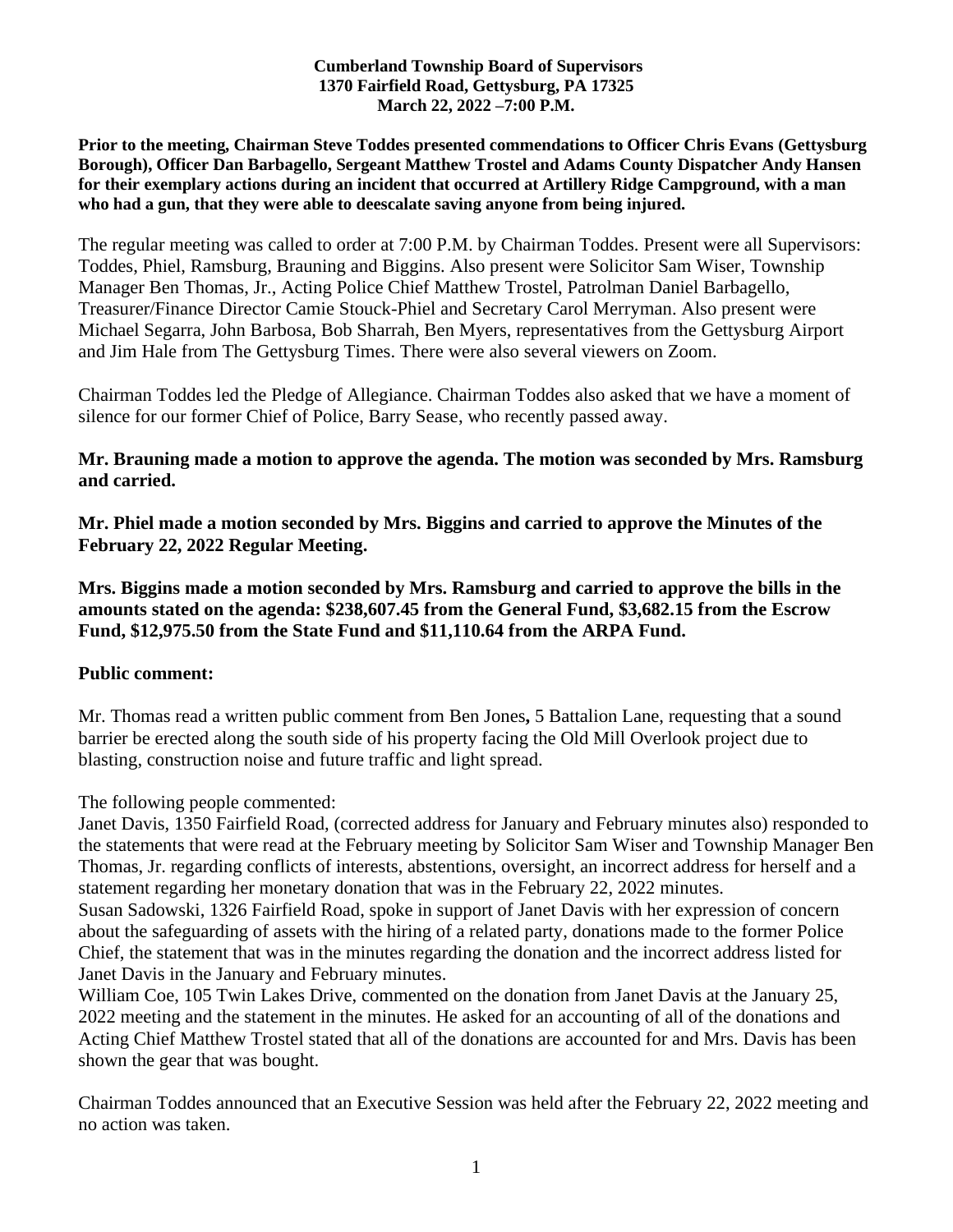### **Cumberland Township Board of Supervisors 1370 Fairfield Road, Gettysburg, PA 17325 March 22, 2022 –7:00 P.M.**

**Prior to the meeting, Chairman Steve Toddes presented commendations to Officer Chris Evans (Gettysburg Borough), Officer Dan Barbagello, Sergeant Matthew Trostel and Adams County Dispatcher Andy Hansen for their exemplary actions during an incident that occurred at Artillery Ridge Campground, with a man who had a gun, that they were able to deescalate saving anyone from being injured.** 

The regular meeting was called to order at 7:00 P.M. by Chairman Toddes. Present were all Supervisors: Toddes, Phiel, Ramsburg, Brauning and Biggins. Also present were Solicitor Sam Wiser, Township Manager Ben Thomas, Jr., Acting Police Chief Matthew Trostel, Patrolman Daniel Barbagello, Treasurer/Finance Director Camie Stouck-Phiel and Secretary Carol Merryman. Also present were Michael Segarra, John Barbosa, Bob Sharrah, Ben Myers, representatives from the Gettysburg Airport and Jim Hale from The Gettysburg Times. There were also several viewers on Zoom.

Chairman Toddes led the Pledge of Allegiance. Chairman Toddes also asked that we have a moment of silence for our former Chief of Police, Barry Sease, who recently passed away.

## **Mr. Brauning made a motion to approve the agenda. The motion was seconded by Mrs. Ramsburg and carried.**

**Mr. Phiel made a motion seconded by Mrs. Biggins and carried to approve the Minutes of the February 22, 2022 Regular Meeting.**

**Mrs. Biggins made a motion seconded by Mrs. Ramsburg and carried to approve the bills in the amounts stated on the agenda: \$238,607.45 from the General Fund, \$3,682.15 from the Escrow Fund, \$12,975.50 from the State Fund and \$11,110.64 from the ARPA Fund.**

## **Public comment:**

Mr. Thomas read a written public comment from Ben Jones**,** 5 Battalion Lane, requesting that a sound barrier be erected along the south side of his property facing the Old Mill Overlook project due to blasting, construction noise and future traffic and light spread.

The following people commented:

Janet Davis, 1350 Fairfield Road, (corrected address for January and February minutes also) responded to the statements that were read at the February meeting by Solicitor Sam Wiser and Township Manager Ben Thomas, Jr. regarding conflicts of interests, abstentions, oversight, an incorrect address for herself and a statement regarding her monetary donation that was in the February 22, 2022 minutes.

Susan Sadowski, 1326 Fairfield Road, spoke in support of Janet Davis with her expression of concern about the safeguarding of assets with the hiring of a related party, donations made to the former Police Chief, the statement that was in the minutes regarding the donation and the incorrect address listed for Janet Davis in the January and February minutes.

William Coe, 105 Twin Lakes Drive, commented on the donation from Janet Davis at the January 25, 2022 meeting and the statement in the minutes. He asked for an accounting of all of the donations and Acting Chief Matthew Trostel stated that all of the donations are accounted for and Mrs. Davis has been shown the gear that was bought.

Chairman Toddes announced that an Executive Session was held after the February 22, 2022 meeting and no action was taken.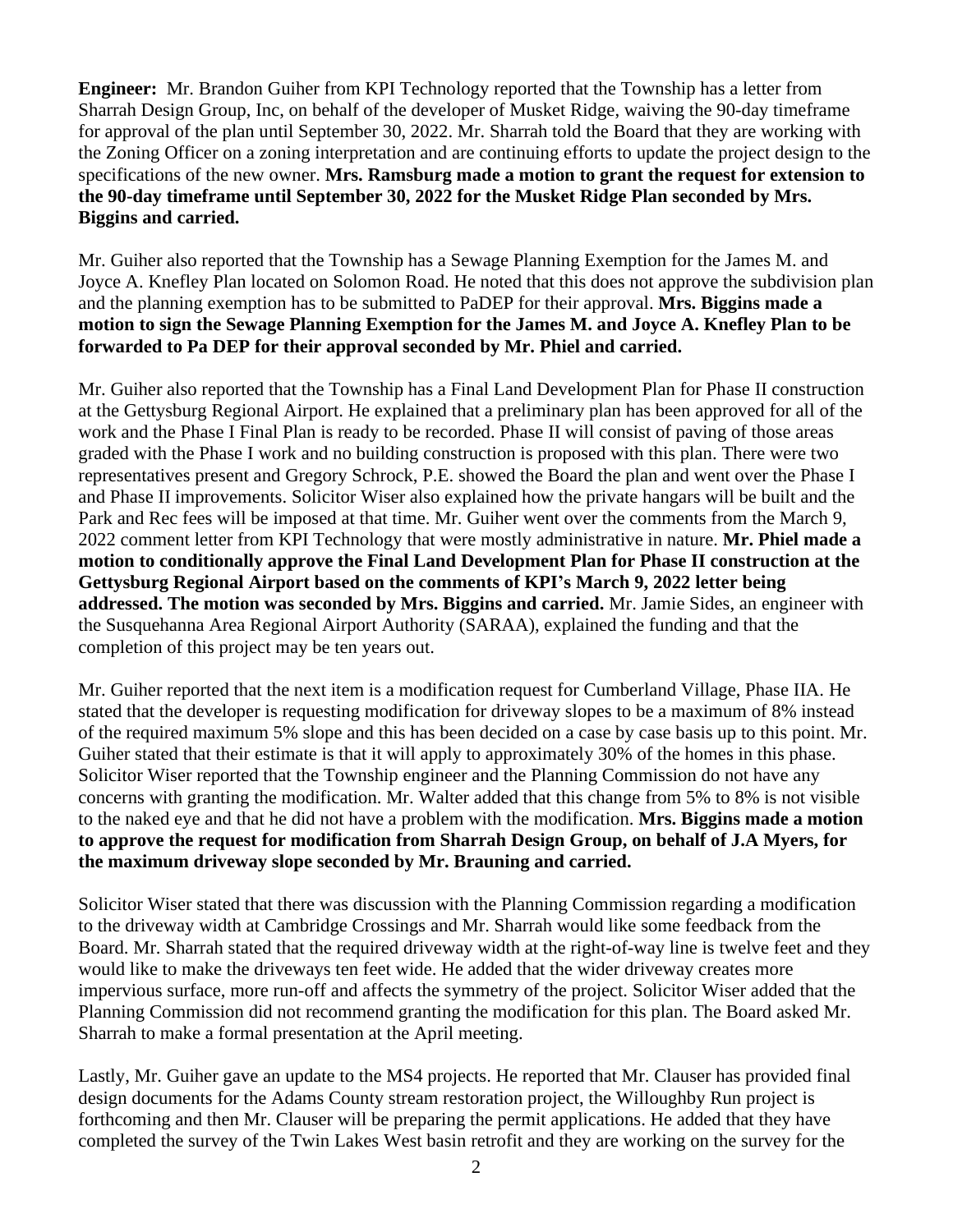**Engineer:** Mr. Brandon Guiher from KPI Technology reported that the Township has a letter from Sharrah Design Group, Inc, on behalf of the developer of Musket Ridge, waiving the 90-day timeframe for approval of the plan until September 30, 2022. Mr. Sharrah told the Board that they are working with the Zoning Officer on a zoning interpretation and are continuing efforts to update the project design to the specifications of the new owner. **Mrs. Ramsburg made a motion to grant the request for extension to the 90-day timeframe until September 30, 2022 for the Musket Ridge Plan seconded by Mrs. Biggins and carried.**

Mr. Guiher also reported that the Township has a Sewage Planning Exemption for the James M. and Joyce A. Knefley Plan located on Solomon Road. He noted that this does not approve the subdivision plan and the planning exemption has to be submitted to PaDEP for their approval. **Mrs. Biggins made a motion to sign the Sewage Planning Exemption for the James M. and Joyce A. Knefley Plan to be forwarded to Pa DEP for their approval seconded by Mr. Phiel and carried.**

Mr. Guiher also reported that the Township has a Final Land Development Plan for Phase II construction at the Gettysburg Regional Airport. He explained that a preliminary plan has been approved for all of the work and the Phase I Final Plan is ready to be recorded. Phase II will consist of paving of those areas graded with the Phase I work and no building construction is proposed with this plan. There were two representatives present and Gregory Schrock, P.E. showed the Board the plan and went over the Phase I and Phase II improvements. Solicitor Wiser also explained how the private hangars will be built and the Park and Rec fees will be imposed at that time. Mr. Guiher went over the comments from the March 9, 2022 comment letter from KPI Technology that were mostly administrative in nature. **Mr. Phiel made a motion to conditionally approve the Final Land Development Plan for Phase II construction at the Gettysburg Regional Airport based on the comments of KPI's March 9, 2022 letter being addressed. The motion was seconded by Mrs. Biggins and carried.** Mr. Jamie Sides, an engineer with the Susquehanna Area Regional Airport Authority (SARAA), explained the funding and that the completion of this project may be ten years out.

Mr. Guiher reported that the next item is a modification request for Cumberland Village, Phase IIA. He stated that the developer is requesting modification for driveway slopes to be a maximum of 8% instead of the required maximum 5% slope and this has been decided on a case by case basis up to this point. Mr. Guiher stated that their estimate is that it will apply to approximately 30% of the homes in this phase. Solicitor Wiser reported that the Township engineer and the Planning Commission do not have any concerns with granting the modification. Mr. Walter added that this change from 5% to 8% is not visible to the naked eye and that he did not have a problem with the modification. **Mrs. Biggins made a motion to approve the request for modification from Sharrah Design Group, on behalf of J.A Myers, for the maximum driveway slope seconded by Mr. Brauning and carried.** 

Solicitor Wiser stated that there was discussion with the Planning Commission regarding a modification to the driveway width at Cambridge Crossings and Mr. Sharrah would like some feedback from the Board. Mr. Sharrah stated that the required driveway width at the right-of-way line is twelve feet and they would like to make the driveways ten feet wide. He added that the wider driveway creates more impervious surface, more run-off and affects the symmetry of the project. Solicitor Wiser added that the Planning Commission did not recommend granting the modification for this plan. The Board asked Mr. Sharrah to make a formal presentation at the April meeting.

Lastly, Mr. Guiher gave an update to the MS4 projects. He reported that Mr. Clauser has provided final design documents for the Adams County stream restoration project, the Willoughby Run project is forthcoming and then Mr. Clauser will be preparing the permit applications. He added that they have completed the survey of the Twin Lakes West basin retrofit and they are working on the survey for the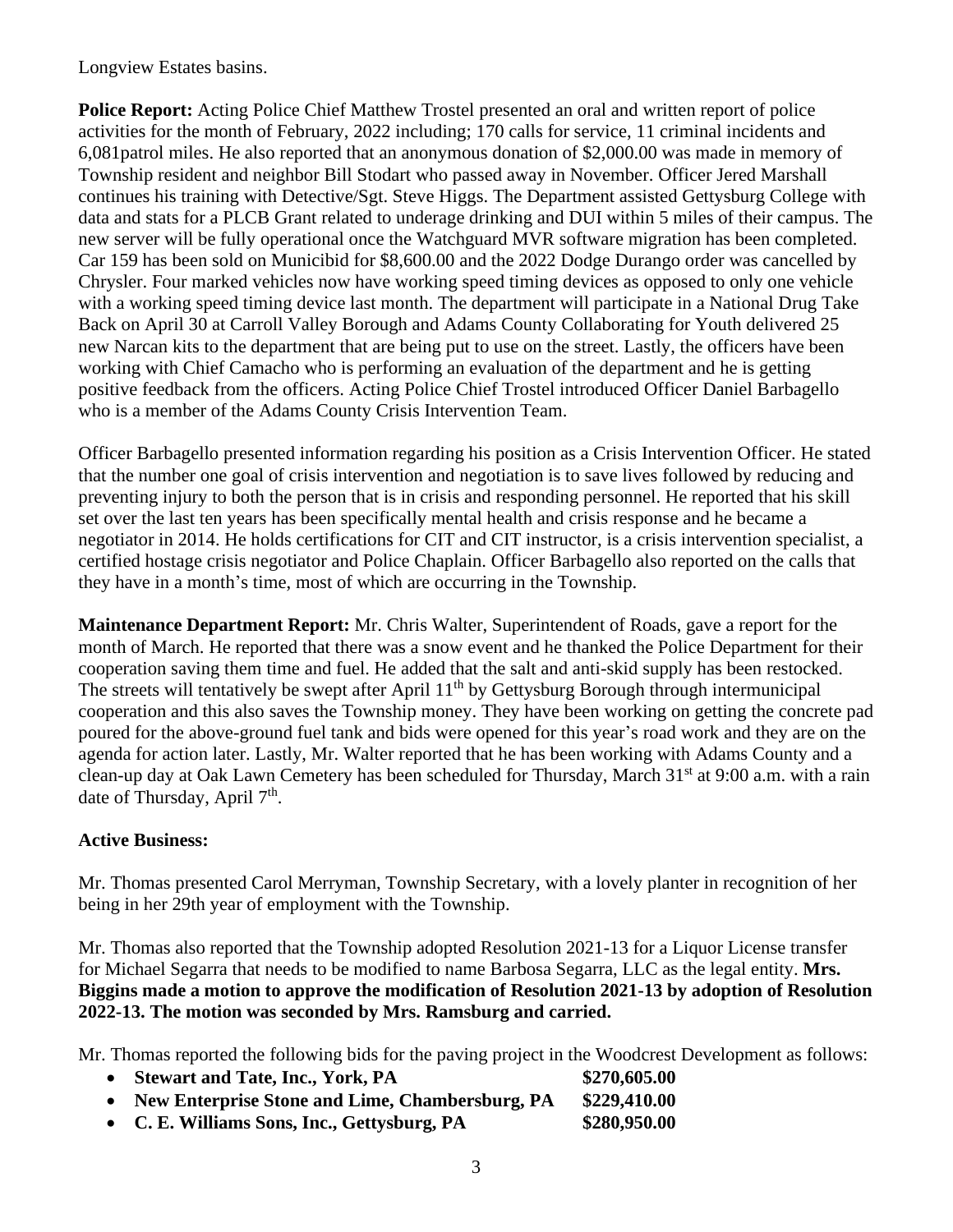Longview Estates basins.

**Police Report:** Acting Police Chief Matthew Trostel presented an oral and written report of police activities for the month of February, 2022 including; 170 calls for service, 11 criminal incidents and 6,081patrol miles. He also reported that an anonymous donation of \$2,000.00 was made in memory of Township resident and neighbor Bill Stodart who passed away in November. Officer Jered Marshall continues his training with Detective/Sgt. Steve Higgs. The Department assisted Gettysburg College with data and stats for a PLCB Grant related to underage drinking and DUI within 5 miles of their campus. The new server will be fully operational once the Watchguard MVR software migration has been completed. Car 159 has been sold on Municibid for \$8,600.00 and the 2022 Dodge Durango order was cancelled by Chrysler. Four marked vehicles now have working speed timing devices as opposed to only one vehicle with a working speed timing device last month. The department will participate in a National Drug Take Back on April 30 at Carroll Valley Borough and Adams County Collaborating for Youth delivered 25 new Narcan kits to the department that are being put to use on the street. Lastly, the officers have been working with Chief Camacho who is performing an evaluation of the department and he is getting positive feedback from the officers. Acting Police Chief Trostel introduced Officer Daniel Barbagello who is a member of the Adams County Crisis Intervention Team.

Officer Barbagello presented information regarding his position as a Crisis Intervention Officer. He stated that the number one goal of crisis intervention and negotiation is to save lives followed by reducing and preventing injury to both the person that is in crisis and responding personnel. He reported that his skill set over the last ten years has been specifically mental health and crisis response and he became a negotiator in 2014. He holds certifications for CIT and CIT instructor, is a crisis intervention specialist, a certified hostage crisis negotiator and Police Chaplain. Officer Barbagello also reported on the calls that they have in a month's time, most of which are occurring in the Township.

**Maintenance Department Report:** Mr. Chris Walter, Superintendent of Roads, gave a report for the month of March. He reported that there was a snow event and he thanked the Police Department for their cooperation saving them time and fuel. He added that the salt and anti-skid supply has been restocked. The streets will tentatively be swept after April 11<sup>th</sup> by Gettysburg Borough through intermunicipal cooperation and this also saves the Township money. They have been working on getting the concrete pad poured for the above-ground fuel tank and bids were opened for this year's road work and they are on the agenda for action later. Lastly, Mr. Walter reported that he has been working with Adams County and a clean-up day at Oak Lawn Cemetery has been scheduled for Thursday, March 31<sup>st</sup> at 9:00 a.m. with a rain date of Thursday, April 7<sup>th</sup>.

# **Active Business:**

Mr. Thomas presented Carol Merryman, Township Secretary, with a lovely planter in recognition of her being in her 29th year of employment with the Township.

Mr. Thomas also reported that the Township adopted Resolution 2021-13 for a Liquor License transfer for Michael Segarra that needs to be modified to name Barbosa Segarra, LLC as the legal entity. **Mrs. Biggins made a motion to approve the modification of Resolution 2021-13 by adoption of Resolution 2022-13. The motion was seconded by Mrs. Ramsburg and carried.** 

Mr. Thomas reported the following bids for the paving project in the Woodcrest Development as follows:

| • Stewart and Tate, Inc., York, PA                | \$270,605.00 |
|---------------------------------------------------|--------------|
| • New Enterprise Stone and Lime, Chambersburg, PA | \$229,410.00 |
| • C. E. Williams Sons, Inc., Gettysburg, PA       | \$280,950.00 |

3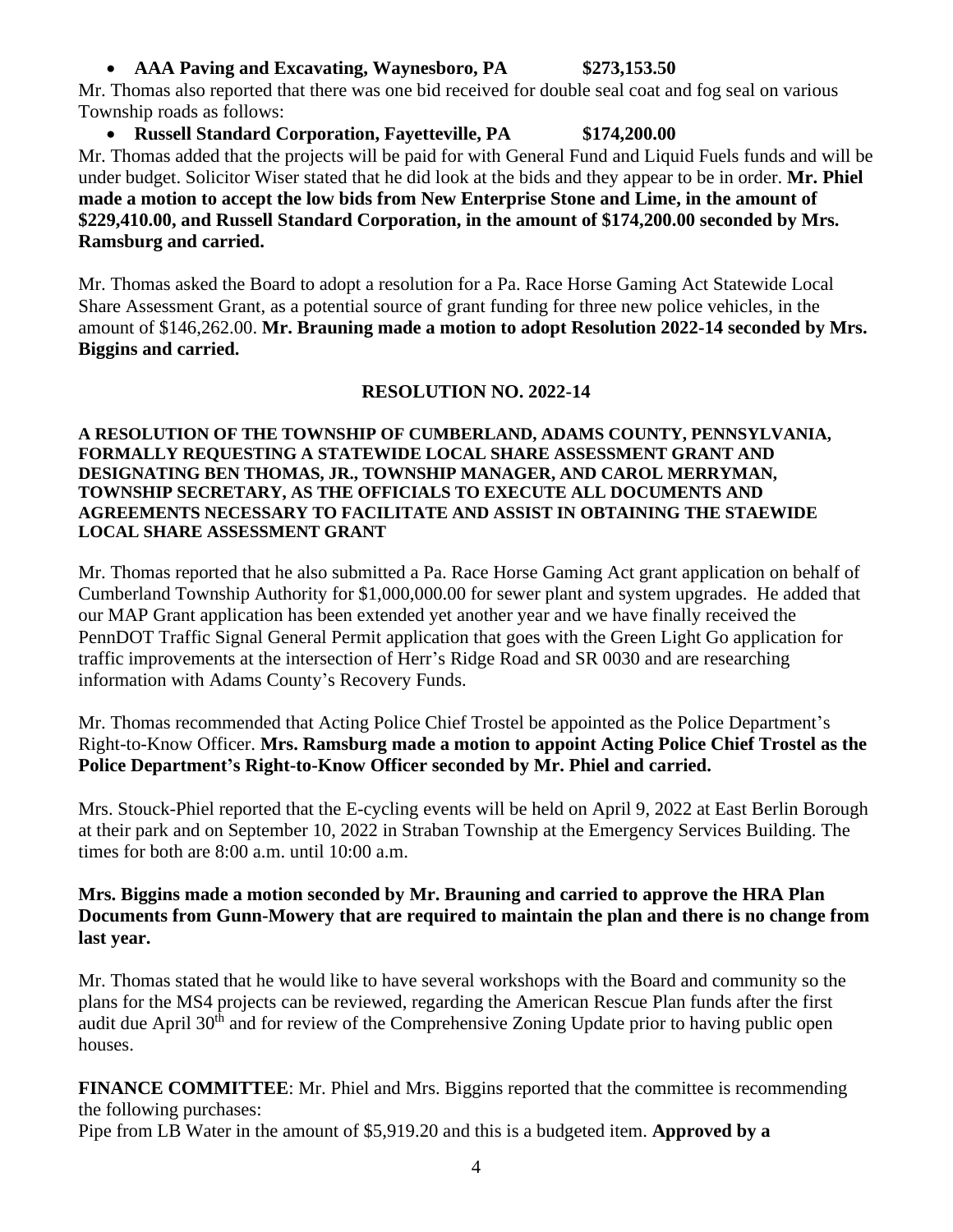## • **AAA Paving and Excavating, Waynesboro, PA \$273,153.50**

Mr. Thomas also reported that there was one bid received for double seal coat and fog seal on various Township roads as follows:

• **Russell Standard Corporation, Fayetteville, PA \$174,200.00** Mr. Thomas added that the projects will be paid for with General Fund and Liquid Fuels funds and will be

under budget. Solicitor Wiser stated that he did look at the bids and they appear to be in order. **Mr. Phiel made a motion to accept the low bids from New Enterprise Stone and Lime, in the amount of \$229,410.00, and Russell Standard Corporation, in the amount of \$174,200.00 seconded by Mrs. Ramsburg and carried.** 

Mr. Thomas asked the Board to adopt a resolution for a Pa. Race Horse Gaming Act Statewide Local Share Assessment Grant, as a potential source of grant funding for three new police vehicles, in the amount of \$146,262.00. **Mr. Brauning made a motion to adopt Resolution 2022-14 seconded by Mrs. Biggins and carried.**

## **RESOLUTION NO. 2022-14**

### **A RESOLUTION OF THE TOWNSHIP OF CUMBERLAND, ADAMS COUNTY, PENNSYLVANIA, FORMALLY REQUESTING A STATEWIDE LOCAL SHARE ASSESSMENT GRANT AND DESIGNATING BEN THOMAS, JR., TOWNSHIP MANAGER, AND CAROL MERRYMAN, TOWNSHIP SECRETARY, AS THE OFFICIALS TO EXECUTE ALL DOCUMENTS AND AGREEMENTS NECESSARY TO FACILITATE AND ASSIST IN OBTAINING THE STAEWIDE LOCAL SHARE ASSESSMENT GRANT**

Mr. Thomas reported that he also submitted a Pa. Race Horse Gaming Act grant application on behalf of Cumberland Township Authority for \$1,000,000.00 for sewer plant and system upgrades. He added that our MAP Grant application has been extended yet another year and we have finally received the PennDOT Traffic Signal General Permit application that goes with the Green Light Go application for traffic improvements at the intersection of Herr's Ridge Road and SR 0030 and are researching information with Adams County's Recovery Funds.

Mr. Thomas recommended that Acting Police Chief Trostel be appointed as the Police Department's Right-to-Know Officer. **Mrs. Ramsburg made a motion to appoint Acting Police Chief Trostel as the Police Department's Right-to-Know Officer seconded by Mr. Phiel and carried.**

Mrs. Stouck-Phiel reported that the E-cycling events will be held on April 9, 2022 at East Berlin Borough at their park and on September 10, 2022 in Straban Township at the Emergency Services Building. The times for both are 8:00 a.m. until 10:00 a.m.

## **Mrs. Biggins made a motion seconded by Mr. Brauning and carried to approve the HRA Plan Documents from Gunn-Mowery that are required to maintain the plan and there is no change from last year.**

Mr. Thomas stated that he would like to have several workshops with the Board and community so the plans for the MS4 projects can be reviewed, regarding the American Rescue Plan funds after the first audit due April 30<sup>th</sup> and for review of the Comprehensive Zoning Update prior to having public open houses.

**FINANCE COMMITTEE**: Mr. Phiel and Mrs. Biggins reported that the committee is recommending the following purchases:

Pipe from LB Water in the amount of \$5,919.20 and this is a budgeted item. **Approved by a**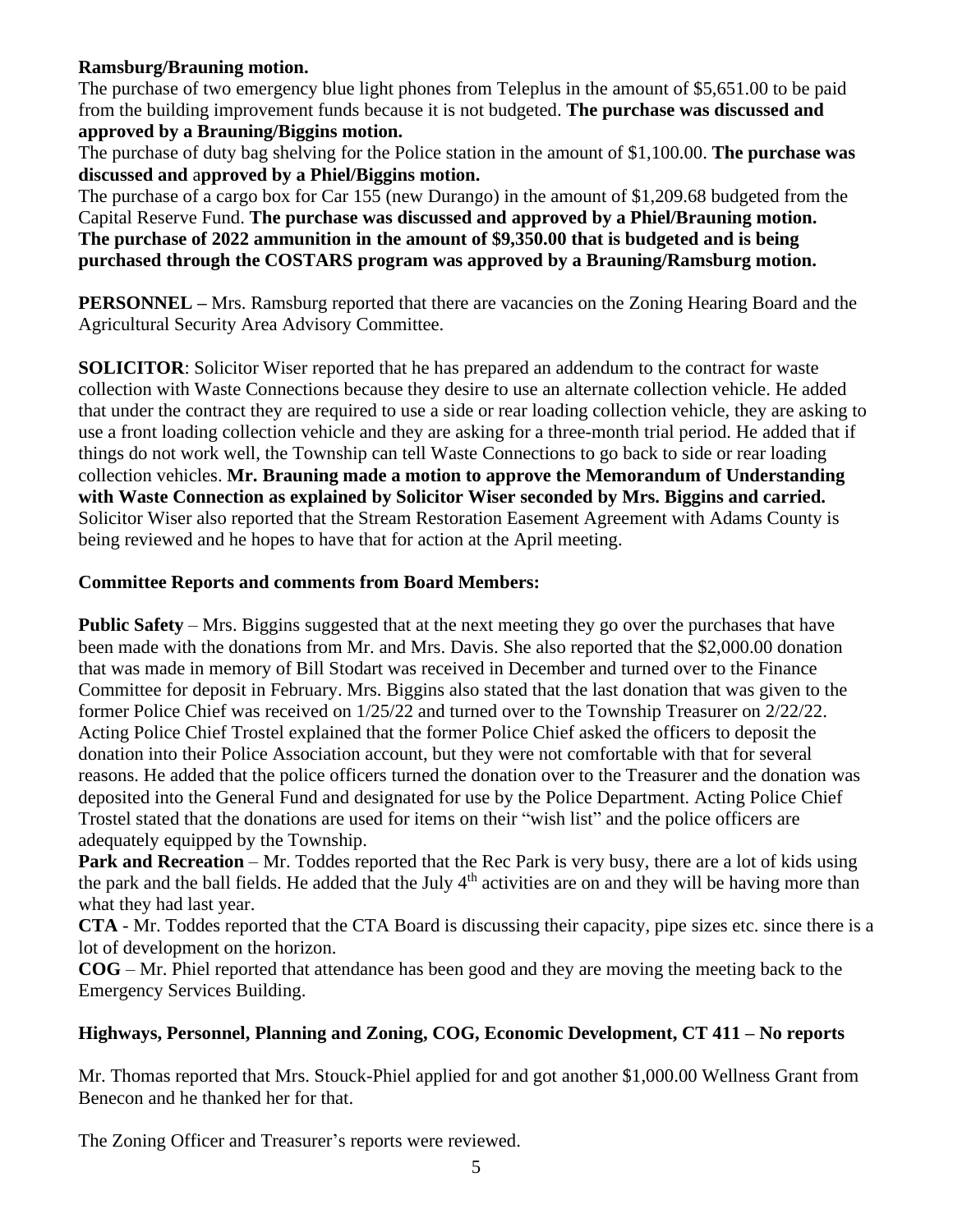# **Ramsburg/Brauning motion.**

The purchase of two emergency blue light phones from Teleplus in the amount of \$5,651.00 to be paid from the building improvement funds because it is not budgeted. **The purchase was discussed and approved by a Brauning/Biggins motion.**

The purchase of duty bag shelving for the Police station in the amount of \$1,100.00. **The purchase was discussed and** a**pproved by a Phiel/Biggins motion.**

The purchase of a cargo box for Car 155 (new Durango) in the amount of \$1,209.68 budgeted from the Capital Reserve Fund. **The purchase was discussed and approved by a Phiel/Brauning motion. The purchase of 2022 ammunition in the amount of \$9,350.00 that is budgeted and is being purchased through the COSTARS program was approved by a Brauning/Ramsburg motion.**

**PERSONNEL –** Mrs. Ramsburg reported that there are vacancies on the Zoning Hearing Board and the Agricultural Security Area Advisory Committee.

**SOLICITOR**: Solicitor Wiser reported that he has prepared an addendum to the contract for waste collection with Waste Connections because they desire to use an alternate collection vehicle. He added that under the contract they are required to use a side or rear loading collection vehicle, they are asking to use a front loading collection vehicle and they are asking for a three-month trial period. He added that if things do not work well, the Township can tell Waste Connections to go back to side or rear loading collection vehicles. **Mr. Brauning made a motion to approve the Memorandum of Understanding with Waste Connection as explained by Solicitor Wiser seconded by Mrs. Biggins and carried.**  Solicitor Wiser also reported that the Stream Restoration Easement Agreement with Adams County is being reviewed and he hopes to have that for action at the April meeting.

# **Committee Reports and comments from Board Members:**

**Public Safety** – Mrs. Biggins suggested that at the next meeting they go over the purchases that have been made with the donations from Mr. and Mrs. Davis. She also reported that the \$2,000.00 donation that was made in memory of Bill Stodart was received in December and turned over to the Finance Committee for deposit in February. Mrs. Biggins also stated that the last donation that was given to the former Police Chief was received on 1/25/22 and turned over to the Township Treasurer on 2/22/22. Acting Police Chief Trostel explained that the former Police Chief asked the officers to deposit the donation into their Police Association account, but they were not comfortable with that for several reasons. He added that the police officers turned the donation over to the Treasurer and the donation was deposited into the General Fund and designated for use by the Police Department. Acting Police Chief Trostel stated that the donations are used for items on their "wish list" and the police officers are adequately equipped by the Township.

**Park and Recreation** – Mr. Toddes reported that the Rec Park is very busy, there are a lot of kids using the park and the ball fields. He added that the July  $4<sup>th</sup>$  activities are on and they will be having more than what they had last year.

**CTA** - Mr. Toddes reported that the CTA Board is discussing their capacity, pipe sizes etc. since there is a lot of development on the horizon.

**COG** – Mr. Phiel reported that attendance has been good and they are moving the meeting back to the Emergency Services Building.

# **Highways, Personnel, Planning and Zoning, COG, Economic Development, CT 411 – No reports**

Mr. Thomas reported that Mrs. Stouck-Phiel applied for and got another \$1,000.00 Wellness Grant from Benecon and he thanked her for that.

The Zoning Officer and Treasurer's reports were reviewed.